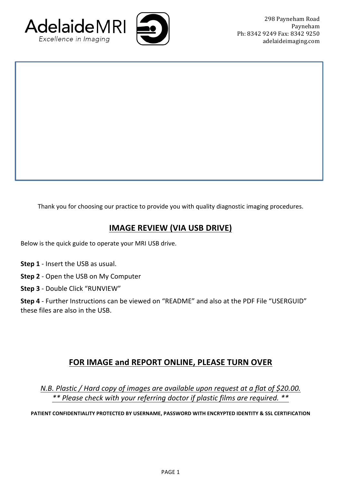



Thank you for choosing our practice to provide you with quality diagnostic imaging procedures.

## **IMAGE REVIEW (VIA USB DRIVE)**

Below is the quick guide to operate your MRI USB drive.

- **Step 1** Insert the USB as usual.
- **Step 2** Open the USB on My Computer
- **Step 3** Double Click "RUNVIEW"

Step 4 - Further Instructions can be viewed on "README" and also at the PDF File "USERGUID" these files are also in the USB.

## **FOR IMAGE and REPORT ONLINE, PLEASE TURN OVER**

*N.B. Plastic* / *Hard copy of images are available upon request at a flat of \$20.00. \*\* Please check with your referring doctor if plastic films are required. \*\**

**PATIENT CONFIDENTIALITY PROTECTED BY USERNAME, PASSWORD WITH ENCRYPTED IDENTITY & SSL CERTIFICATION**